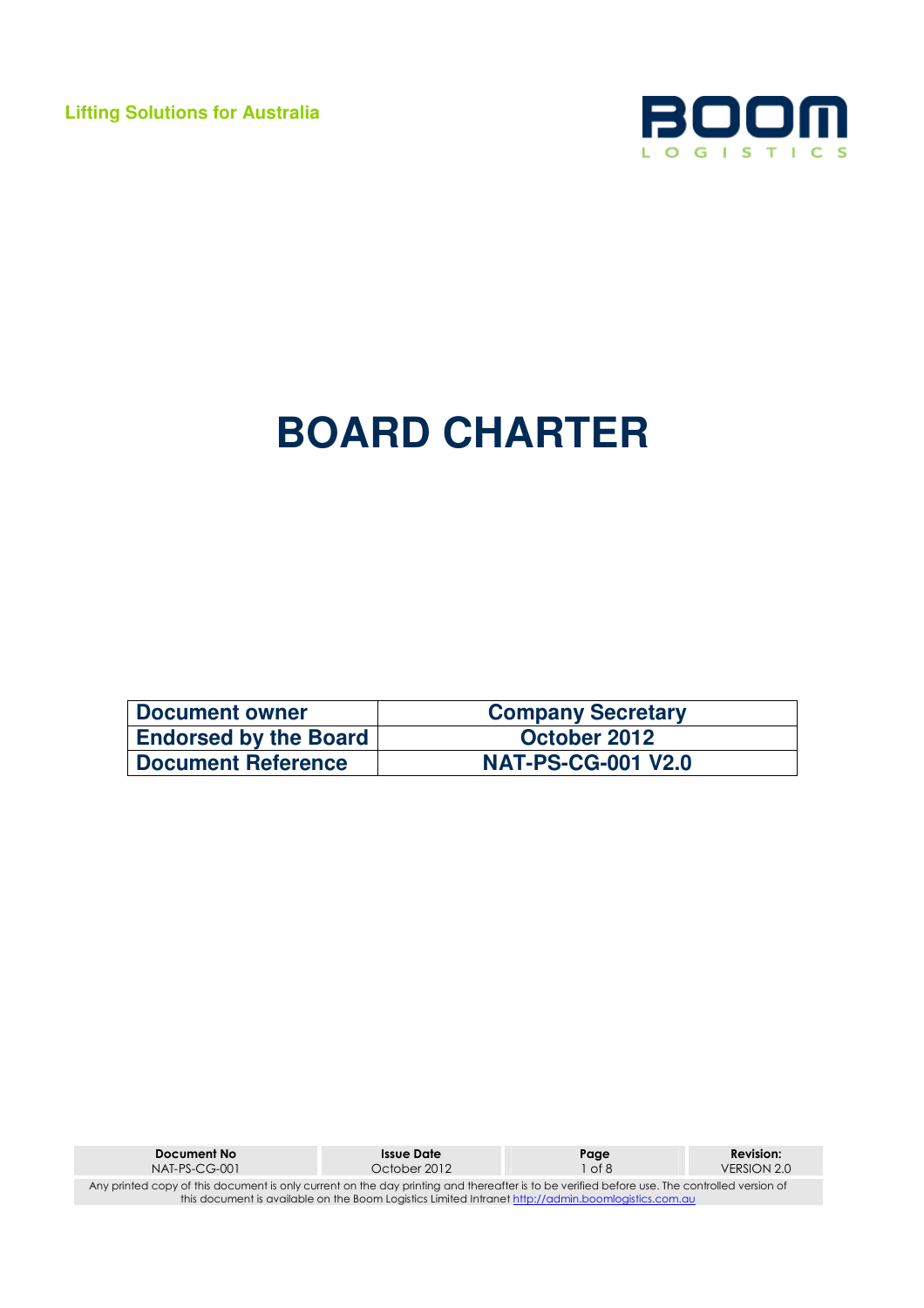**Lifting Solutions for Australia** 



# **BOARD CHARTER**

| Document owner               | <b>Company Secretary</b>  |
|------------------------------|---------------------------|
| <b>Endorsed by the Board</b> | October 2012              |
| Document Reference           | <b>NAT-PS-CG-001 V2.0</b> |

| Document No                                                                                                                                  | Issue Date   | Page   | <b>Revision:</b> |
|----------------------------------------------------------------------------------------------------------------------------------------------|--------------|--------|------------------|
| NAT-PS-CG-001                                                                                                                                | October 2012 | 1 of 8 | VERSION 2.0      |
| Any printed copy of this document is only current on the day printing and thereafter is to be verified before use. The controlled version of |              |        |                  |
| this document is available on the Boom Logistics Limited Intranet http://admin.boomlogistics.com.au                                          |              |        |                  |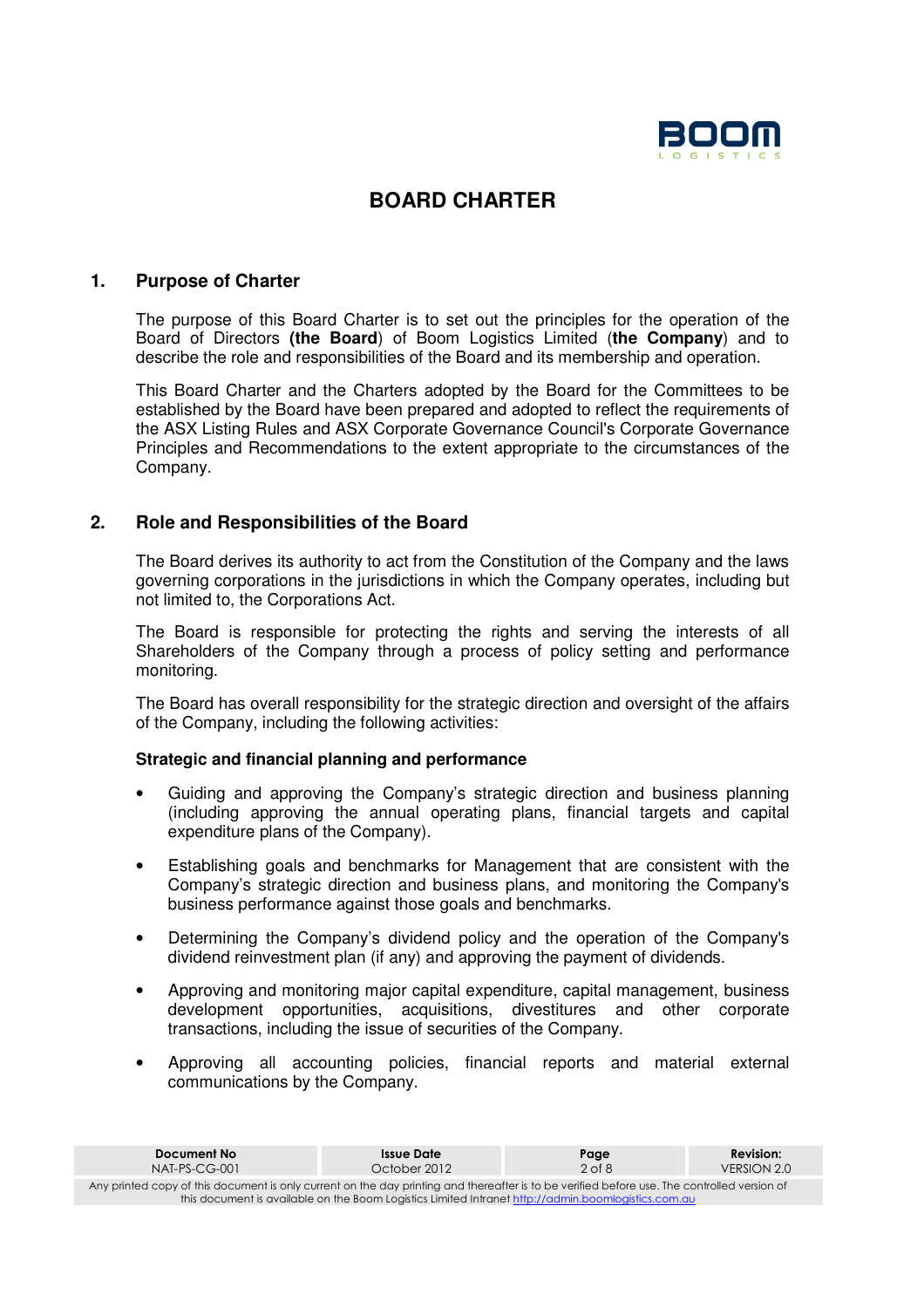

# **BOARD CHARTER**

# **1. Purpose of Charter**

The purpose of this Board Charter is to set out the principles for the operation of the Board of Directors **(the Board**) of Boom Logistics Limited (**the Company**) and to describe the role and responsibilities of the Board and its membership and operation.

This Board Charter and the Charters adopted by the Board for the Committees to be established by the Board have been prepared and adopted to reflect the requirements of the ASX Listing Rules and ASX Corporate Governance Council's Corporate Governance Principles and Recommendations to the extent appropriate to the circumstances of the Company.

# **2. Role and Responsibilities of the Board**

The Board derives its authority to act from the Constitution of the Company and the laws governing corporations in the jurisdictions in which the Company operates, including but not limited to, the Corporations Act.

The Board is responsible for protecting the rights and serving the interests of all Shareholders of the Company through a process of policy setting and performance monitoring.

The Board has overall responsibility for the strategic direction and oversight of the affairs of the Company, including the following activities:

#### **Strategic and financial planning and performance**

- Guiding and approving the Company's strategic direction and business planning (including approving the annual operating plans, financial targets and capital expenditure plans of the Company).
- Establishing goals and benchmarks for Management that are consistent with the Company's strategic direction and business plans, and monitoring the Company's business performance against those goals and benchmarks.
- Determining the Company's dividend policy and the operation of the Company's dividend reinvestment plan (if any) and approving the payment of dividends.
- Approving and monitoring major capital expenditure, capital management, business development opportunities, acquisitions, divestitures and other corporate transactions, including the issue of securities of the Company.
- Approving all accounting policies, financial reports and material external communications by the Company.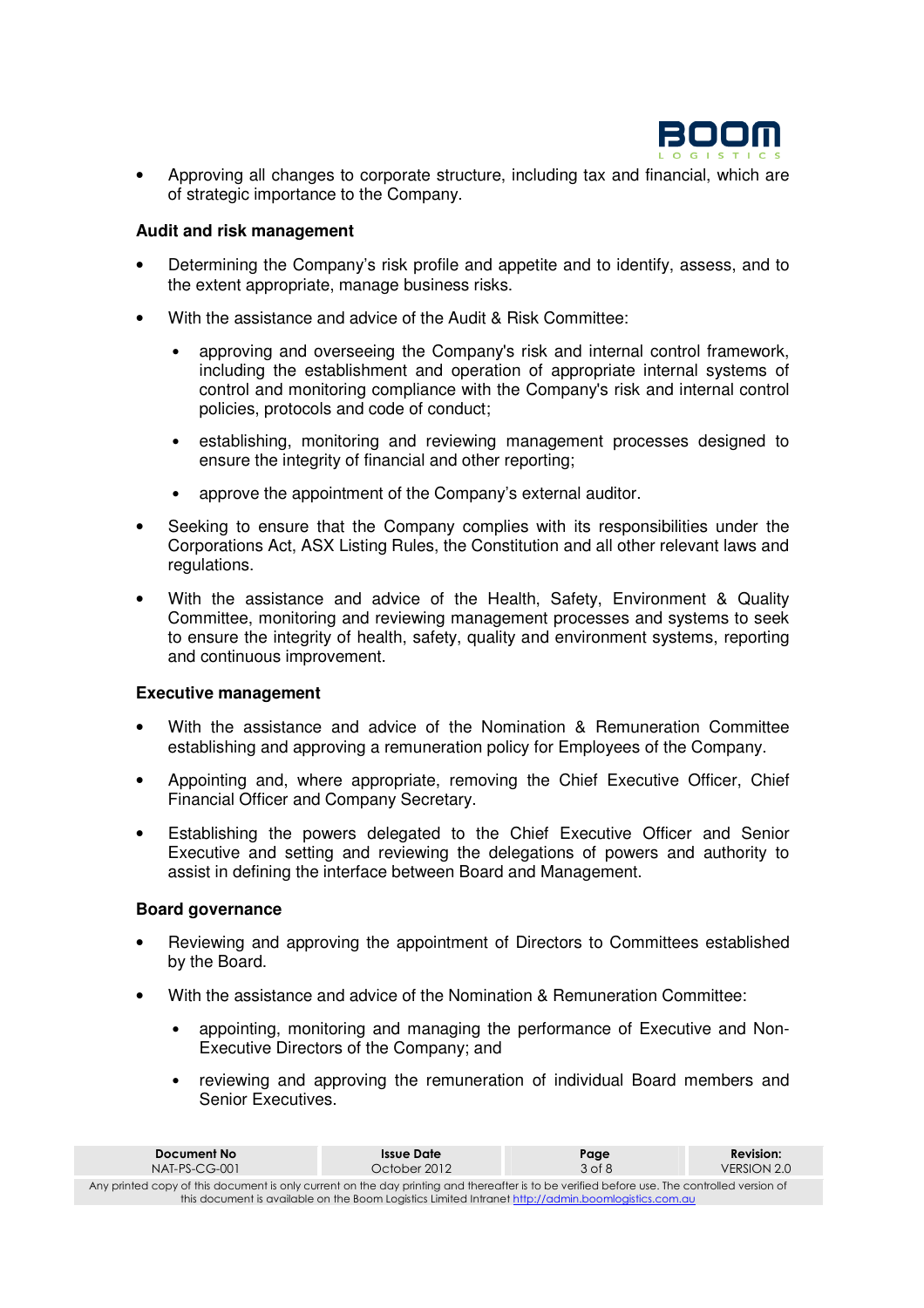

• Approving all changes to corporate structure, including tax and financial, which are of strategic importance to the Company.

#### **Audit and risk management**

- Determining the Company's risk profile and appetite and to identify, assess, and to the extent appropriate, manage business risks.
- With the assistance and advice of the Audit & Risk Committee:
	- approving and overseeing the Company's risk and internal control framework, including the establishment and operation of appropriate internal systems of control and monitoring compliance with the Company's risk and internal control policies, protocols and code of conduct;
	- establishing, monitoring and reviewing management processes designed to ensure the integrity of financial and other reporting;
	- approve the appointment of the Company's external auditor.
- Seeking to ensure that the Company complies with its responsibilities under the Corporations Act, ASX Listing Rules, the Constitution and all other relevant laws and regulations.
- With the assistance and advice of the Health, Safety, Environment & Quality Committee, monitoring and reviewing management processes and systems to seek to ensure the integrity of health, safety, quality and environment systems, reporting and continuous improvement.

#### **Executive management**

- With the assistance and advice of the Nomination & Remuneration Committee establishing and approving a remuneration policy for Employees of the Company.
- Appointing and, where appropriate, removing the Chief Executive Officer, Chief Financial Officer and Company Secretary.
- Establishing the powers delegated to the Chief Executive Officer and Senior Executive and setting and reviewing the delegations of powers and authority to assist in defining the interface between Board and Management.

#### **Board governance**

- Reviewing and approving the appointment of Directors to Committees established by the Board.
- With the assistance and advice of the Nomination & Remuneration Committee:
	- appointing, monitoring and managing the performance of Executive and Non-Executive Directors of the Company; and
	- reviewing and approving the remuneration of individual Board members and Senior Executives.

| Document No                                                                                                                                  | Issue Date   | Page       | <b>Revision:</b> |
|----------------------------------------------------------------------------------------------------------------------------------------------|--------------|------------|------------------|
| $NAT-PS-CG-001$                                                                                                                              | October 2012 | $3$ of $8$ | VERSION 2.0      |
| Any printed copy of this document is only current on the day printing and thereafter is to be verified before use. The controlled version of |              |            |                  |
| this document is available on the Boom Logistics Limited Intranet http://admin.boomlogistics.com.au                                          |              |            |                  |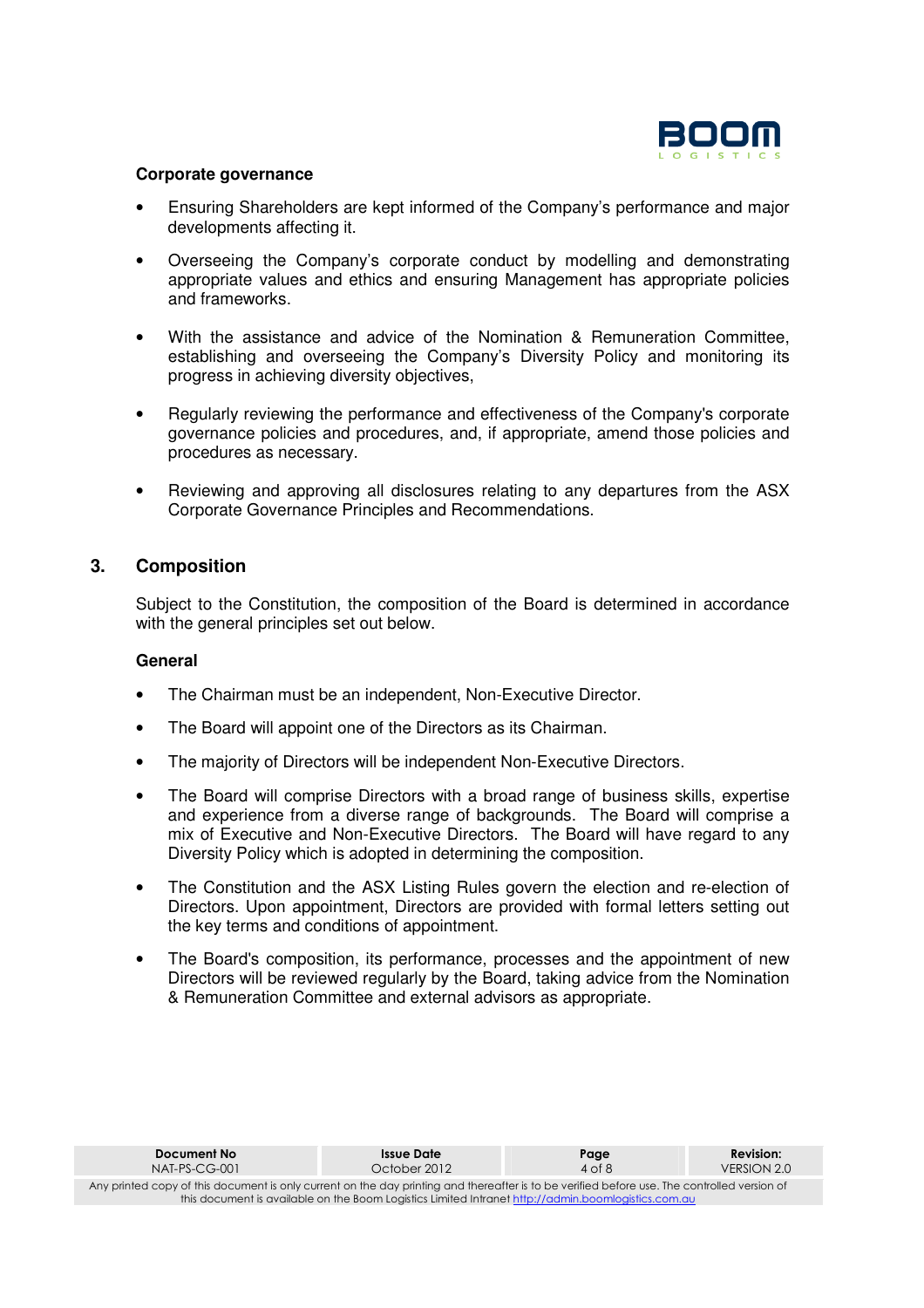

#### **Corporate governance**

- Ensuring Shareholders are kept informed of the Company's performance and major developments affecting it.
- Overseeing the Company's corporate conduct by modelling and demonstrating appropriate values and ethics and ensuring Management has appropriate policies and frameworks.
- With the assistance and advice of the Nomination & Remuneration Committee, establishing and overseeing the Company's Diversity Policy and monitoring its progress in achieving diversity objectives,
- Regularly reviewing the performance and effectiveness of the Company's corporate governance policies and procedures, and, if appropriate, amend those policies and procedures as necessary.
- Reviewing and approving all disclosures relating to any departures from the ASX Corporate Governance Principles and Recommendations.

# **3. Composition**

Subject to the Constitution, the composition of the Board is determined in accordance with the general principles set out below.

#### **General**

- The Chairman must be an independent, Non-Executive Director.
- The Board will appoint one of the Directors as its Chairman.
- The majority of Directors will be independent Non-Executive Directors.
- The Board will comprise Directors with a broad range of business skills, expertise and experience from a diverse range of backgrounds. The Board will comprise a mix of Executive and Non-Executive Directors. The Board will have regard to any Diversity Policy which is adopted in determining the composition.
- The Constitution and the ASX Listing Rules govern the election and re-election of Directors. Upon appointment, Directors are provided with formal letters setting out the key terms and conditions of appointment.
- The Board's composition, its performance, processes and the appointment of new Directors will be reviewed regularly by the Board, taking advice from the Nomination & Remuneration Committee and external advisors as appropriate.

| Document No                                                                                                                                                                                                                                         | Issue Date   | Page       | <b>Revision:</b> |
|-----------------------------------------------------------------------------------------------------------------------------------------------------------------------------------------------------------------------------------------------------|--------------|------------|------------------|
| $NAT-PS-CG-001$                                                                                                                                                                                                                                     | October 2012 | $4$ of $8$ | VERSION 2.0      |
| Any printed copy of this document is only current on the day printing and thereafter is to be verified before use. The controlled version of<br>this document is available on the Boom Logistics Limited Intranet http://admin.boomlogistics.com.au |              |            |                  |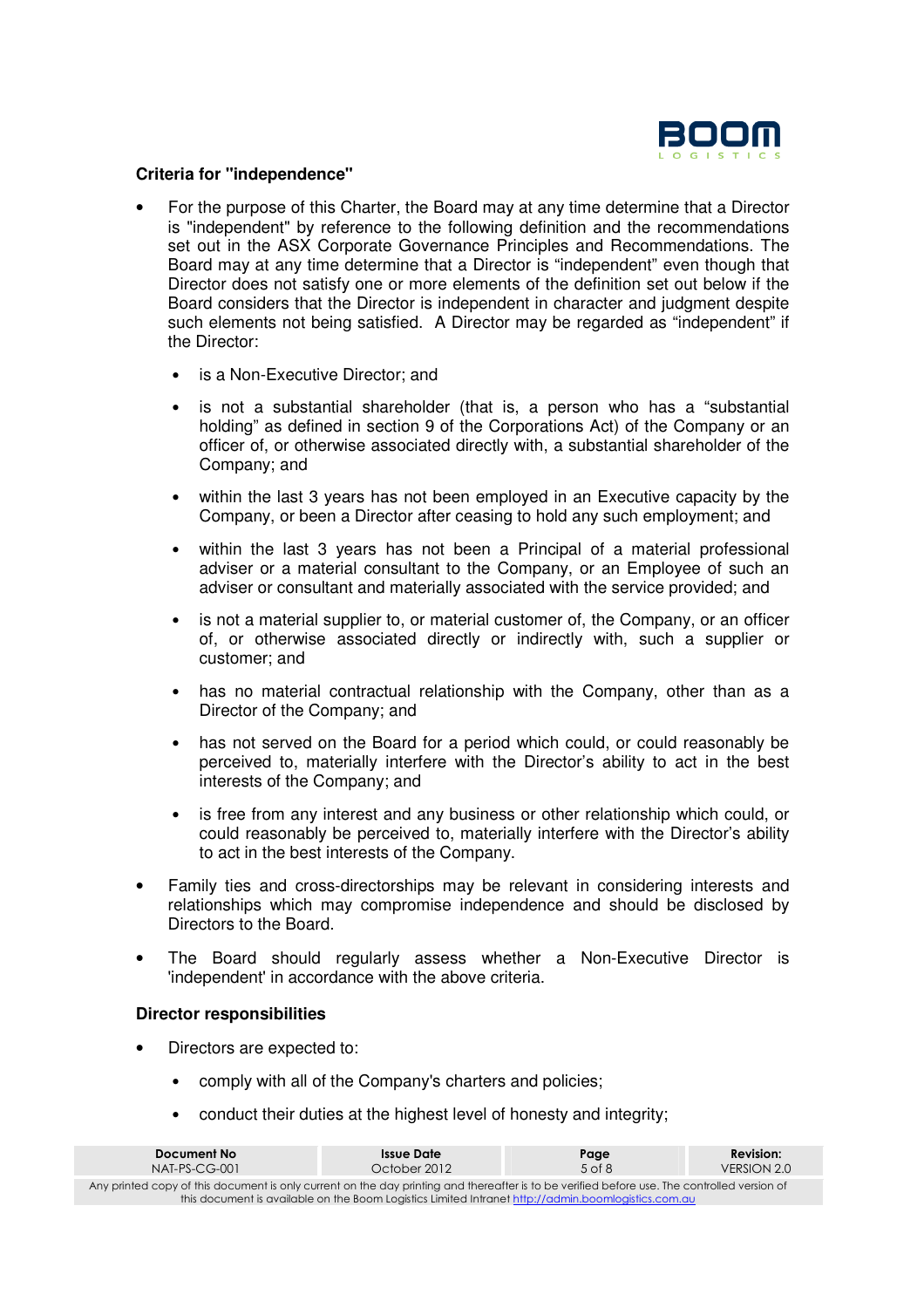

#### **Criteria for "independence"**

- For the purpose of this Charter, the Board may at any time determine that a Director is "independent" by reference to the following definition and the recommendations set out in the ASX Corporate Governance Principles and Recommendations. The Board may at any time determine that a Director is "independent" even though that Director does not satisfy one or more elements of the definition set out below if the Board considers that the Director is independent in character and judgment despite such elements not being satisfied. A Director may be regarded as "independent" if the Director:
	- is a Non-Executive Director; and
	- is not a substantial shareholder (that is, a person who has a "substantial holding" as defined in section 9 of the Corporations Act) of the Company or an officer of, or otherwise associated directly with, a substantial shareholder of the Company; and
	- within the last 3 years has not been employed in an Executive capacity by the Company, or been a Director after ceasing to hold any such employment; and
	- within the last 3 years has not been a Principal of a material professional adviser or a material consultant to the Company, or an Employee of such an adviser or consultant and materially associated with the service provided; and
	- is not a material supplier to, or material customer of, the Company, or an officer of, or otherwise associated directly or indirectly with, such a supplier or customer; and
	- has no material contractual relationship with the Company, other than as a Director of the Company; and
	- has not served on the Board for a period which could, or could reasonably be perceived to, materially interfere with the Director's ability to act in the best interests of the Company; and
	- is free from any interest and any business or other relationship which could, or could reasonably be perceived to, materially interfere with the Director's ability to act in the best interests of the Company.
- Family ties and cross-directorships may be relevant in considering interests and relationships which may compromise independence and should be disclosed by Directors to the Board.
- The Board should regularly assess whether a Non-Executive Director is 'independent' in accordance with the above criteria.

#### **Director responsibilities**

- Directors are expected to:
	- comply with all of the Company's charters and policies;
	- conduct their duties at the highest level of honesty and integrity:

| Document No                                                                                                                                  | Issue Date   | Page       | <b>Revision:</b> |
|----------------------------------------------------------------------------------------------------------------------------------------------|--------------|------------|------------------|
| $NAT-PS-CG-001$                                                                                                                              | October 2012 | $5$ of $8$ | VERSION 2.0      |
| Any printed copy of this document is only current on the day printing and thereafter is to be verified before use. The controlled version of |              |            |                  |
| this document is available on the Boom Logistics Limited Intranet http://admin.boomlogistics.com.au                                          |              |            |                  |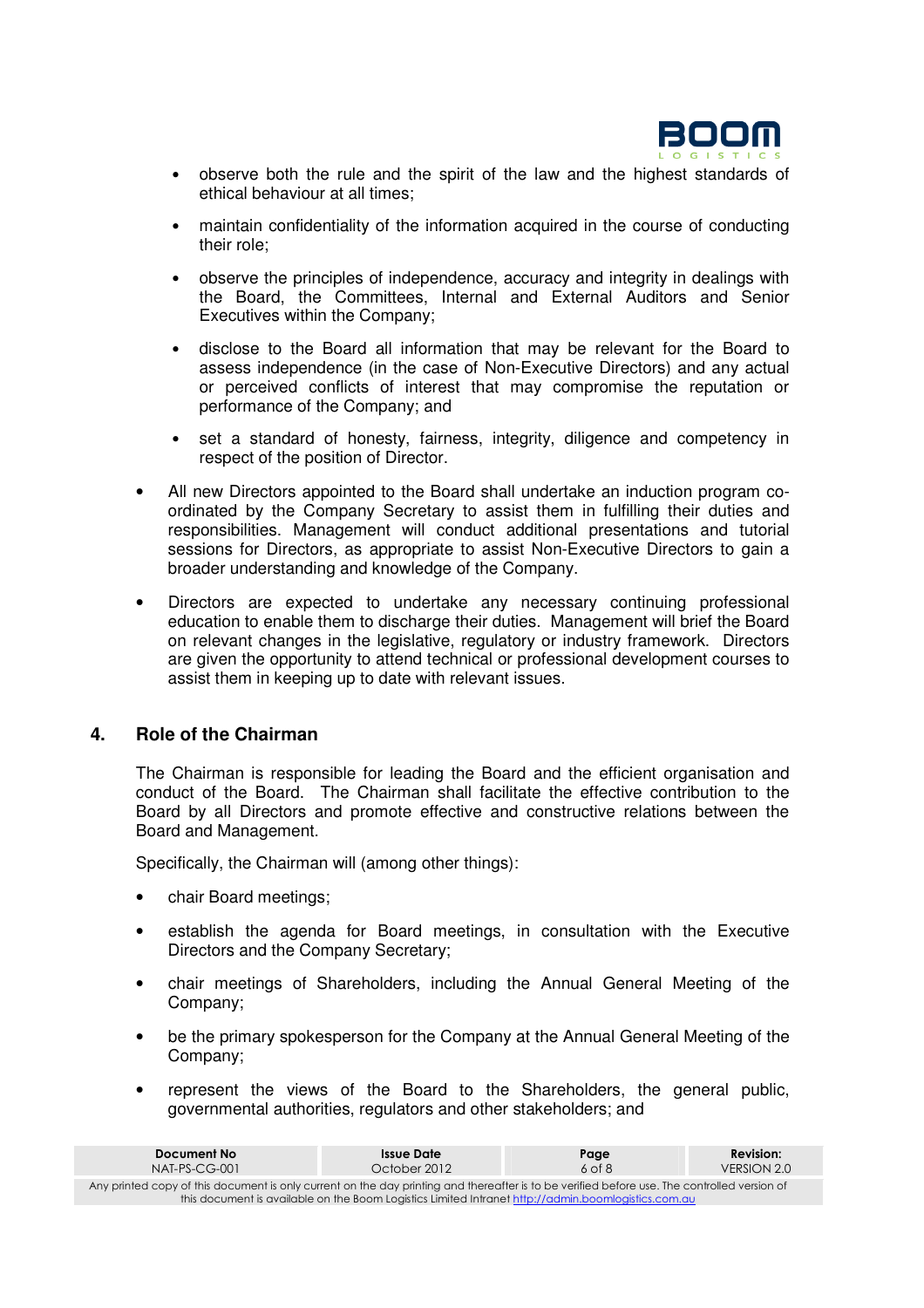

- observe both the rule and the spirit of the law and the highest standards of ethical behaviour at all times;
- maintain confidentiality of the information acquired in the course of conducting their role;
- observe the principles of independence, accuracy and integrity in dealings with the Board, the Committees, Internal and External Auditors and Senior Executives within the Company;
- disclose to the Board all information that may be relevant for the Board to assess independence (in the case of Non-Executive Directors) and any actual or perceived conflicts of interest that may compromise the reputation or performance of the Company; and
- set a standard of honesty, fairness, integrity, diligence and competency in respect of the position of Director.
- All new Directors appointed to the Board shall undertake an induction program coordinated by the Company Secretary to assist them in fulfilling their duties and responsibilities. Management will conduct additional presentations and tutorial sessions for Directors, as appropriate to assist Non-Executive Directors to gain a broader understanding and knowledge of the Company.
- Directors are expected to undertake any necessary continuing professional education to enable them to discharge their duties. Management will brief the Board on relevant changes in the legislative, regulatory or industry framework. Directors are given the opportunity to attend technical or professional development courses to assist them in keeping up to date with relevant issues.

# **4. Role of the Chairman**

The Chairman is responsible for leading the Board and the efficient organisation and conduct of the Board. The Chairman shall facilitate the effective contribution to the Board by all Directors and promote effective and constructive relations between the Board and Management.

Specifically, the Chairman will (among other things):

- chair Board meetings;
- establish the agenda for Board meetings, in consultation with the Executive Directors and the Company Secretary;
- chair meetings of Shareholders, including the Annual General Meeting of the Company;
- be the primary spokesperson for the Company at the Annual General Meeting of the Company;
- represent the views of the Board to the Shareholders, the general public, governmental authorities, regulators and other stakeholders; and

| Document No                                                                                                                                  | Issue Date   | Page       | <b>Revision:</b> |
|----------------------------------------------------------------------------------------------------------------------------------------------|--------------|------------|------------------|
| $NAI-PS-CG-001$                                                                                                                              | October 2012 | $6$ of $8$ | VERSION 2.0      |
| Any printed copy of this document is only current on the day printing and thereafter is to be verified before use. The controlled version of |              |            |                  |
| this document is available on the Boom Logistics Limited Intranet http://admin.boomlogistics.com.au                                          |              |            |                  |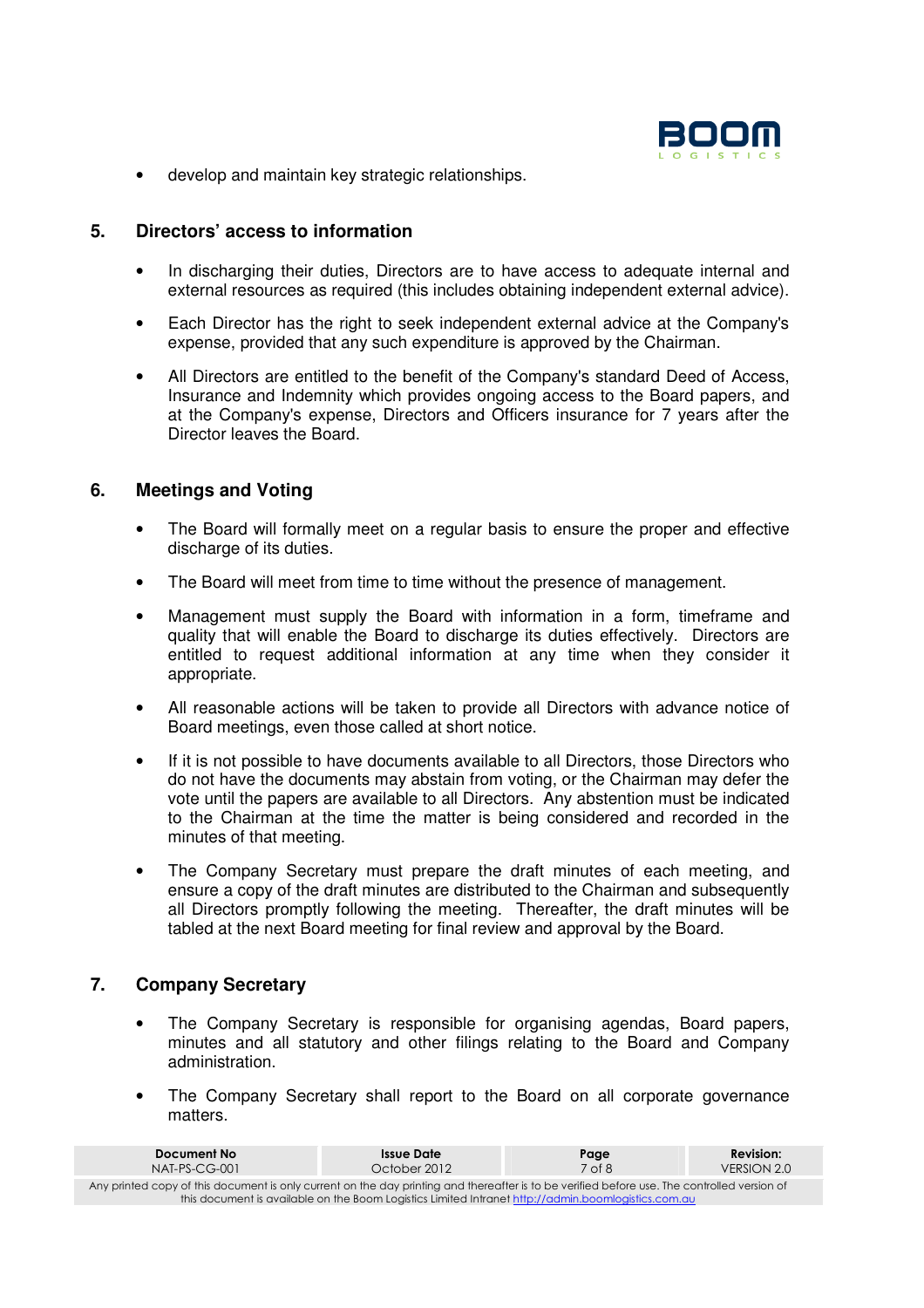

• develop and maintain key strategic relationships.

# **5. Directors' access to information**

- In discharging their duties, Directors are to have access to adequate internal and external resources as required (this includes obtaining independent external advice).
- Each Director has the right to seek independent external advice at the Company's expense, provided that any such expenditure is approved by the Chairman.
- All Directors are entitled to the benefit of the Company's standard Deed of Access, Insurance and Indemnity which provides ongoing access to the Board papers, and at the Company's expense, Directors and Officers insurance for 7 years after the Director leaves the Board.

# **6. Meetings and Voting**

- The Board will formally meet on a regular basis to ensure the proper and effective discharge of its duties.
- The Board will meet from time to time without the presence of management.
- Management must supply the Board with information in a form, timeframe and quality that will enable the Board to discharge its duties effectively. Directors are entitled to request additional information at any time when they consider it appropriate.
- All reasonable actions will be taken to provide all Directors with advance notice of Board meetings, even those called at short notice.
- If it is not possible to have documents available to all Directors, those Directors who do not have the documents may abstain from voting, or the Chairman may defer the vote until the papers are available to all Directors. Any abstention must be indicated to the Chairman at the time the matter is being considered and recorded in the minutes of that meeting.
- The Company Secretary must prepare the draft minutes of each meeting, and ensure a copy of the draft minutes are distributed to the Chairman and subsequently all Directors promptly following the meeting. Thereafter, the draft minutes will be tabled at the next Board meeting for final review and approval by the Board.

# **7. Company Secretary**

- The Company Secretary is responsible for organising agendas, Board papers, minutes and all statutory and other filings relating to the Board and Company administration.
- The Company Secretary shall report to the Board on all corporate governance matters.

| Document No                                                                                                                                  | Issue Date   | Page   | <b>Revision:</b> |
|----------------------------------------------------------------------------------------------------------------------------------------------|--------------|--------|------------------|
| $NAI-PS-CG-001$                                                                                                                              | October 2012 | 7 of 8 | VERSION 2.0      |
| Any printed copy of this document is only current on the day printing and thereafter is to be verified before use. The controlled version of |              |        |                  |
| this document is available on the Boom Logistics Limited Intranet http://admin.boomlogistics.com.au                                          |              |        |                  |